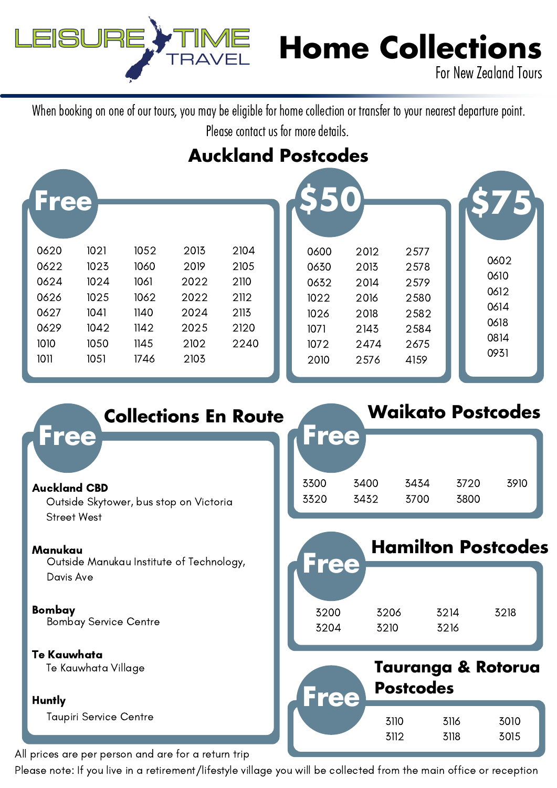

## **Home Collections**

For New Zealand Tours

When booking on one of our tours, you may be eligible for home collection or transfer to your nearest departure point. Please contact us for more details.

## **Auckland Postcodes**

| Free                                                                                                                         |                                                              |                                                              |                                                      |                                                              |                                                              |                                                              |                                                      |
|------------------------------------------------------------------------------------------------------------------------------|--------------------------------------------------------------|--------------------------------------------------------------|------------------------------------------------------|--------------------------------------------------------------|--------------------------------------------------------------|--------------------------------------------------------------|------------------------------------------------------|
| 0620<br>1021<br>0622<br>1023<br>1024<br>0624<br>1025<br>0626<br>1041<br>0627<br>0629<br>1042<br>1010<br>1050<br>1011<br>1051 | 1052<br>1060<br>1061<br>1062<br>1140<br>1142<br>1145<br>1746 | 2013<br>2019<br>2022<br>2022<br>2024<br>2025<br>2102<br>2103 | 2104<br>2105<br>2110<br>2112<br>2113<br>2120<br>2240 | 0600<br>0630<br>0632<br>1022<br>1026<br>1071<br>1072<br>2010 | 2012<br>2013<br>2014<br>2016<br>2018<br>2143<br>2474<br>2576 | 2577<br>2578<br>2579<br>2580<br>2582<br>2584<br>2675<br>4159 | 0602<br>0610<br>0612<br>0614<br>0618<br>0814<br>0931 |

| <b>Collections En Route</b>                                      | <b>Waikato Postcodes</b> |              |                  |              |                           |  |
|------------------------------------------------------------------|--------------------------|--------------|------------------|--------------|---------------------------|--|
| <b>Free</b>                                                      | Free                     |              |                  |              |                           |  |
| <b>Auckland CBD</b>                                              | 3300<br>3320             | 3400<br>3432 | 3434<br>3700     | 3720<br>3800 | 3910                      |  |
| Outside Skytower, bus stop on Victoria<br><b>Street West</b>     |                          |              |                  |              |                           |  |
| Manukau<br>Outside Manukau Institute of Technology,<br>Davis Ave | Free                     |              |                  |              | <b>Hamilton Postcodes</b> |  |
| <b>Bombay</b><br><b>Bombay Service Centre</b>                    | 3200<br>3204             | 3206<br>3210 | 3214<br>3216     |              | 3218                      |  |
| <b>Te Kauwhata</b><br>Te Kauwhata Village                        |                          |              | <b>Postcodes</b> |              | Tauranga & Rotorua        |  |
| <b>Huntly</b>                                                    | Free                     |              |                  |              |                           |  |
| <b>Taupiri Service Centre</b>                                    |                          | 3110<br>3112 |                  | 3116<br>3118 | 3010<br>3015              |  |
| prices are per person and are fer a return trip                  |                          |              |                  |              |                           |  |

All prices are per person and are for a return trip

Please note: If you live in a retirement/lifestyle village you will be collected from the main office or reception